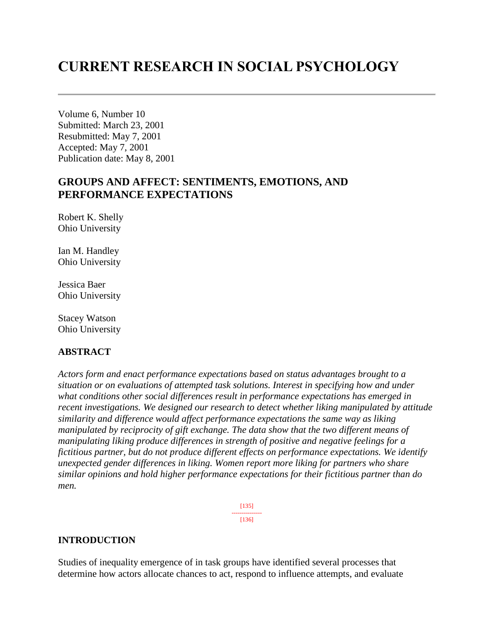# **CURRENT RESEARCH IN SOCIAL PSYCHOLOGY**

Volume 6, Number 10 Submitted: March 23, 2001 Resubmitted: May 7, 2001 Accepted: May 7, 2001 Publication date: May 8, 2001

# **GROUPS AND AFFECT: SENTIMENTS, EMOTIONS, AND PERFORMANCE EXPECTATIONS**

Robert K. Shelly Ohio University

Ian M. Handley Ohio University

Jessica Baer Ohio University

Stacey Watson Ohio University

### **ABSTRACT**

*Actors form and enact performance expectations based on status advantages brought to a situation or on evaluations of attempted task solutions. Interest in specifying how and under what conditions other social differences result in performance expectations has emerged in recent investigations. We designed our research to detect whether liking manipulated by attitude similarity and difference would affect performance expectations the same way as liking manipulated by reciprocity of gift exchange. The data show that the two different means of manipulating liking produce differences in strength of positive and negative feelings for a fictitious partner, but do not produce different effects on performance expectations. We identify unexpected gender differences in liking. Women report more liking for partners who share similar opinions and hold higher performance expectations for their fictitious partner than do men.*

> [135] --------------- [136]

### **INTRODUCTION**

Studies of inequality emergence of in task groups have identified several processes that determine how actors allocate chances to act, respond to influence attempts, and evaluate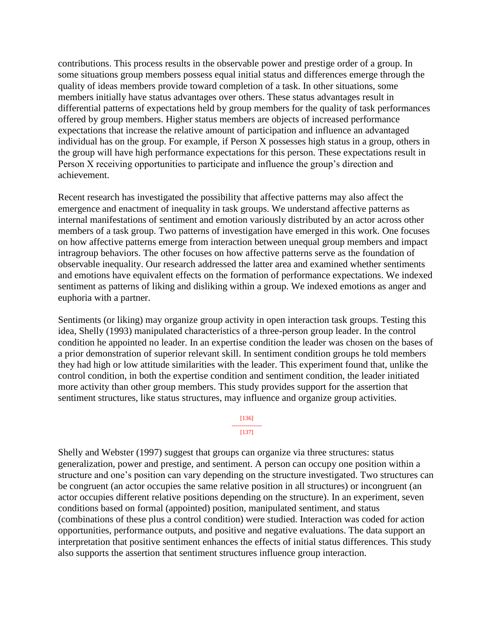contributions. This process results in the observable power and prestige order of a group. In some situations group members possess equal initial status and differences emerge through the quality of ideas members provide toward completion of a task. In other situations, some members initially have status advantages over others. These status advantages result in differential patterns of expectations held by group members for the quality of task performances offered by group members. Higher status members are objects of increased performance expectations that increase the relative amount of participation and influence an advantaged individual has on the group. For example, if Person X possesses high status in a group, others in the group will have high performance expectations for this person. These expectations result in Person X receiving opportunities to participate and influence the group's direction and achievement.

Recent research has investigated the possibility that affective patterns may also affect the emergence and enactment of inequality in task groups. We understand affective patterns as internal manifestations of sentiment and emotion variously distributed by an actor across other members of a task group. Two patterns of investigation have emerged in this work. One focuses on how affective patterns emerge from interaction between unequal group members and impact intragroup behaviors. The other focuses on how affective patterns serve as the foundation of observable inequality. Our research addressed the latter area and examined whether sentiments and emotions have equivalent effects on the formation of performance expectations. We indexed sentiment as patterns of liking and disliking within a group. We indexed emotions as anger and euphoria with a partner.

Sentiments (or liking) may organize group activity in open interaction task groups. Testing this idea, Shelly (1993) manipulated characteristics of a three-person group leader. In the control condition he appointed no leader. In an expertise condition the leader was chosen on the bases of a prior demonstration of superior relevant skill. In sentiment condition groups he told members they had high or low attitude similarities with the leader. This experiment found that, unlike the control condition, in both the expertise condition and sentiment condition, the leader initiated more activity than other group members. This study provides support for the assertion that sentiment structures, like status structures, may influence and organize group activities.

#### [136] ---------------

#### [137]

Shelly and Webster (1997) suggest that groups can organize via three structures: status generalization, power and prestige, and sentiment. A person can occupy one position within a structure and one's position can vary depending on the structure investigated. Two structures can be congruent (an actor occupies the same relative position in all structures) or incongruent (an actor occupies different relative positions depending on the structure). In an experiment, seven conditions based on formal (appointed) position, manipulated sentiment, and status (combinations of these plus a control condition) were studied. Interaction was coded for action opportunities, performance outputs, and positive and negative evaluations. The data support an interpretation that positive sentiment enhances the effects of initial status differences. This study also supports the assertion that sentiment structures influence group interaction.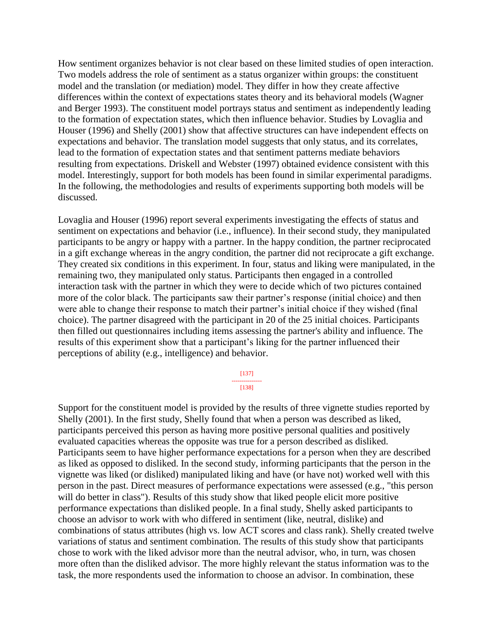How sentiment organizes behavior is not clear based on these limited studies of open interaction. Two models address the role of sentiment as a status organizer within groups: the constituent model and the translation (or mediation) model. They differ in how they create affective differences within the context of expectations states theory and its behavioral models (Wagner and Berger 1993). The constituent model portrays status and sentiment as independently leading to the formation of expectation states, which then influence behavior. Studies by Lovaglia and Houser (1996) and Shelly (2001) show that affective structures can have independent effects on expectations and behavior. The translation model suggests that only status, and its correlates, lead to the formation of expectation states and that sentiment patterns mediate behaviors resulting from expectations. Driskell and Webster (1997) obtained evidence consistent with this model. Interestingly, support for both models has been found in similar experimental paradigms. In the following, the methodologies and results of experiments supporting both models will be discussed.

Lovaglia and Houser (1996) report several experiments investigating the effects of status and sentiment on expectations and behavior (i.e., influence). In their second study, they manipulated participants to be angry or happy with a partner. In the happy condition, the partner reciprocated in a gift exchange whereas in the angry condition, the partner did not reciprocate a gift exchange. They created six conditions in this experiment. In four, status and liking were manipulated, in the remaining two, they manipulated only status. Participants then engaged in a controlled interaction task with the partner in which they were to decide which of two pictures contained more of the color black. The participants saw their partner's response (initial choice) and then were able to change their response to match their partner's initial choice if they wished (final choice). The partner disagreed with the participant in 20 of the 25 initial choices. Participants then filled out questionnaires including items assessing the partner's ability and influence. The results of this experiment show that a participant's liking for the partner influenced their perceptions of ability (e.g., intelligence) and behavior.

#### [137] --------------- [138]

Support for the constituent model is provided by the results of three vignette studies reported by Shelly (2001). In the first study, Shelly found that when a person was described as liked, participants perceived this person as having more positive personal qualities and positively evaluated capacities whereas the opposite was true for a person described as disliked. Participants seem to have higher performance expectations for a person when they are described as liked as opposed to disliked. In the second study, informing participants that the person in the vignette was liked (or disliked) manipulated liking and have (or have not) worked well with this person in the past. Direct measures of performance expectations were assessed (e.g., "this person will do better in class"). Results of this study show that liked people elicit more positive performance expectations than disliked people. In a final study, Shelly asked participants to choose an advisor to work with who differed in sentiment (like, neutral, dislike) and combinations of status attributes (high vs. low ACT scores and class rank). Shelly created twelve variations of status and sentiment combination. The results of this study show that participants chose to work with the liked advisor more than the neutral advisor, who, in turn, was chosen more often than the disliked advisor. The more highly relevant the status information was to the task, the more respondents used the information to choose an advisor. In combination, these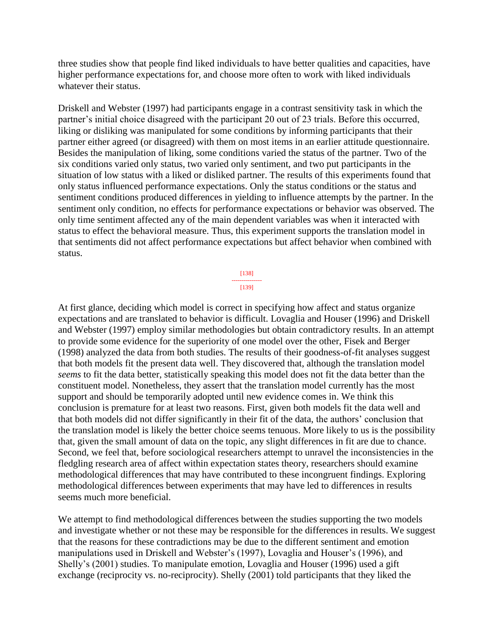three studies show that people find liked individuals to have better qualities and capacities, have higher performance expectations for, and choose more often to work with liked individuals whatever their status.

Driskell and Webster (1997) had participants engage in a contrast sensitivity task in which the partner's initial choice disagreed with the participant 20 out of 23 trials. Before this occurred, liking or disliking was manipulated for some conditions by informing participants that their partner either agreed (or disagreed) with them on most items in an earlier attitude questionnaire. Besides the manipulation of liking, some conditions varied the status of the partner. Two of the six conditions varied only status, two varied only sentiment, and two put participants in the situation of low status with a liked or disliked partner. The results of this experiments found that only status influenced performance expectations. Only the status conditions or the status and sentiment conditions produced differences in yielding to influence attempts by the partner. In the sentiment only condition, no effects for performance expectations or behavior was observed. The only time sentiment affected any of the main dependent variables was when it interacted with status to effect the behavioral measure. Thus, this experiment supports the translation model in that sentiments did not affect performance expectations but affect behavior when combined with status.

> [138] --------------- [139]

At first glance, deciding which model is correct in specifying how affect and status organize expectations and are translated to behavior is difficult. Lovaglia and Houser (1996) and Driskell and Webster (1997) employ similar methodologies but obtain contradictory results. In an attempt to provide some evidence for the superiority of one model over the other, Fisek and Berger (1998) analyzed the data from both studies. The results of their goodness-of-fit analyses suggest that both models fit the present data well. They discovered that, although the translation model *seems* to fit the data better, statistically speaking this model does not fit the data better than the constituent model. Nonetheless, they assert that the translation model currently has the most support and should be temporarily adopted until new evidence comes in. We think this conclusion is premature for at least two reasons. First, given both models fit the data well and that both models did not differ significantly in their fit of the data, the authors' conclusion that the translation model is likely the better choice seems tenuous. More likely to us is the possibility that, given the small amount of data on the topic, any slight differences in fit are due to chance. Second, we feel that, before sociological researchers attempt to unravel the inconsistencies in the fledgling research area of affect within expectation states theory, researchers should examine methodological differences that may have contributed to these incongruent findings. Exploring methodological differences between experiments that may have led to differences in results seems much more beneficial.

We attempt to find methodological differences between the studies supporting the two models and investigate whether or not these may be responsible for the differences in results. We suggest that the reasons for these contradictions may be due to the different sentiment and emotion manipulations used in Driskell and Webster's (1997), Lovaglia and Houser's (1996), and Shelly's (2001) studies. To manipulate emotion, Lovaglia and Houser (1996) used a gift exchange (reciprocity vs. no-reciprocity). Shelly (2001) told participants that they liked the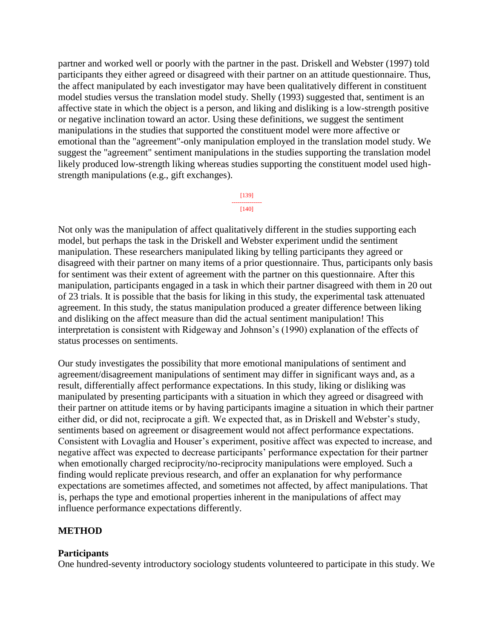partner and worked well or poorly with the partner in the past. Driskell and Webster (1997) told participants they either agreed or disagreed with their partner on an attitude questionnaire. Thus, the affect manipulated by each investigator may have been qualitatively different in constituent model studies versus the translation model study. Shelly (1993) suggested that, sentiment is an affective state in which the object is a person, and liking and disliking is a low-strength positive or negative inclination toward an actor. Using these definitions, we suggest the sentiment manipulations in the studies that supported the constituent model were more affective or emotional than the "agreement"-only manipulation employed in the translation model study. We suggest the "agreement" sentiment manipulations in the studies supporting the translation model likely produced low-strength liking whereas studies supporting the constituent model used highstrength manipulations (e.g., gift exchanges).

> [139] --------------- [140]

Not only was the manipulation of affect qualitatively different in the studies supporting each model, but perhaps the task in the Driskell and Webster experiment undid the sentiment manipulation. These researchers manipulated liking by telling participants they agreed or disagreed with their partner on many items of a prior questionnaire. Thus, participants only basis for sentiment was their extent of agreement with the partner on this questionnaire. After this manipulation, participants engaged in a task in which their partner disagreed with them in 20 out of 23 trials. It is possible that the basis for liking in this study, the experimental task attenuated agreement. In this study, the status manipulation produced a greater difference between liking and disliking on the affect measure than did the actual sentiment manipulation! This interpretation is consistent with Ridgeway and Johnson's (1990) explanation of the effects of status processes on sentiments.

Our study investigates the possibility that more emotional manipulations of sentiment and agreement/disagreement manipulations of sentiment may differ in significant ways and, as a result, differentially affect performance expectations. In this study, liking or disliking was manipulated by presenting participants with a situation in which they agreed or disagreed with their partner on attitude items or by having participants imagine a situation in which their partner either did, or did not, reciprocate a gift. We expected that, as in Driskell and Webster's study, sentiments based on agreement or disagreement would not affect performance expectations. Consistent with Lovaglia and Houser's experiment, positive affect was expected to increase, and negative affect was expected to decrease participants' performance expectation for their partner when emotionally charged reciprocity/no-reciprocity manipulations were employed. Such a finding would replicate previous research, and offer an explanation for why performance expectations are sometimes affected, and sometimes not affected, by affect manipulations. That is, perhaps the type and emotional properties inherent in the manipulations of affect may influence performance expectations differently.

### **METHOD**

#### **Participants**

One hundred-seventy introductory sociology students volunteered to participate in this study. We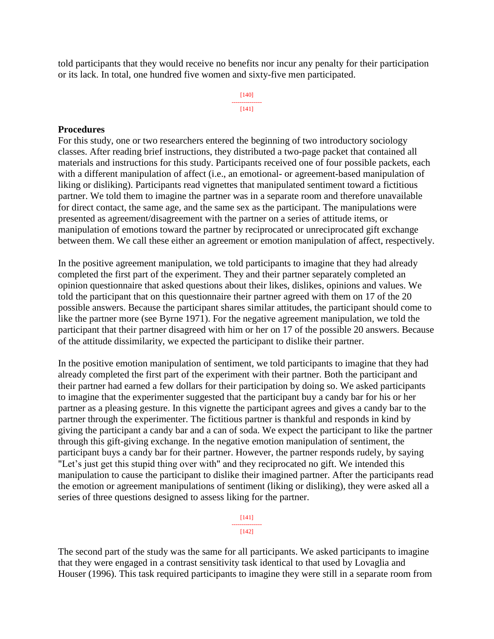told participants that they would receive no benefits nor incur any penalty for their participation or its lack. In total, one hundred five women and sixty-five men participated.

> [140] --------------- [141]

#### **Procedures**

For this study, one or two researchers entered the beginning of two introductory sociology classes. After reading brief instructions, they distributed a two-page packet that contained all materials and instructions for this study. Participants received one of four possible packets, each with a different manipulation of affect (i.e., an emotional- or agreement-based manipulation of liking or disliking). Participants read vignettes that manipulated sentiment toward a fictitious partner. We told them to imagine the partner was in a separate room and therefore unavailable for direct contact, the same age, and the same sex as the participant. The manipulations were presented as agreement/disagreement with the partner on a series of attitude items, or manipulation of emotions toward the partner by reciprocated or unreciprocated gift exchange between them. We call these either an agreement or emotion manipulation of affect, respectively.

In the positive agreement manipulation, we told participants to imagine that they had already completed the first part of the experiment. They and their partner separately completed an opinion questionnaire that asked questions about their likes, dislikes, opinions and values. We told the participant that on this questionnaire their partner agreed with them on 17 of the 20 possible answers. Because the participant shares similar attitudes, the participant should come to like the partner more (see Byrne 1971). For the negative agreement manipulation, we told the participant that their partner disagreed with him or her on 17 of the possible 20 answers. Because of the attitude dissimilarity, we expected the participant to dislike their partner.

In the positive emotion manipulation of sentiment, we told participants to imagine that they had already completed the first part of the experiment with their partner. Both the participant and their partner had earned a few dollars for their participation by doing so. We asked participants to imagine that the experimenter suggested that the participant buy a candy bar for his or her partner as a pleasing gesture. In this vignette the participant agrees and gives a candy bar to the partner through the experimenter. The fictitious partner is thankful and responds in kind by giving the participant a candy bar and a can of soda. We expect the participant to like the partner through this gift-giving exchange. In the negative emotion manipulation of sentiment, the participant buys a candy bar for their partner. However, the partner responds rudely, by saying "Let's just get this stupid thing over with" and they reciprocated no gift. We intended this manipulation to cause the participant to dislike their imagined partner. After the participants read the emotion or agreement manipulations of sentiment (liking or disliking), they were asked all a series of three questions designed to assess liking for the partner.

> [141] ---------------  $[142]$

The second part of the study was the same for all participants. We asked participants to imagine that they were engaged in a contrast sensitivity task identical to that used by Lovaglia and Houser (1996). This task required participants to imagine they were still in a separate room from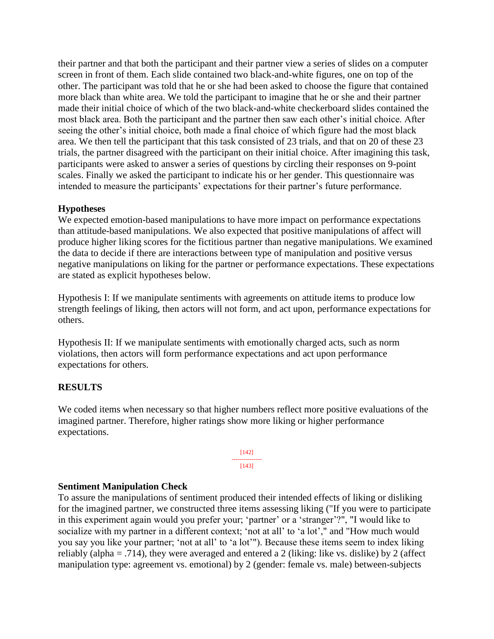their partner and that both the participant and their partner view a series of slides on a computer screen in front of them. Each slide contained two black-and-white figures, one on top of the other. The participant was told that he or she had been asked to choose the figure that contained more black than white area. We told the participant to imagine that he or she and their partner made their initial choice of which of the two black-and-white checkerboard slides contained the most black area. Both the participant and the partner then saw each other's initial choice. After seeing the other's initial choice, both made a final choice of which figure had the most black area. We then tell the participant that this task consisted of 23 trials, and that on 20 of these 23 trials, the partner disagreed with the participant on their initial choice. After imagining this task, participants were asked to answer a series of questions by circling their responses on 9-point scales. Finally we asked the participant to indicate his or her gender. This questionnaire was intended to measure the participants' expectations for their partner's future performance.

## **Hypotheses**

We expected emotion-based manipulations to have more impact on performance expectations than attitude-based manipulations. We also expected that positive manipulations of affect will produce higher liking scores for the fictitious partner than negative manipulations. We examined the data to decide if there are interactions between type of manipulation and positive versus negative manipulations on liking for the partner or performance expectations. These expectations are stated as explicit hypotheses below.

Hypothesis I: If we manipulate sentiments with agreements on attitude items to produce low strength feelings of liking, then actors will not form, and act upon, performance expectations for others.

Hypothesis II: If we manipulate sentiments with emotionally charged acts, such as norm violations, then actors will form performance expectations and act upon performance expectations for others.

# **RESULTS**

We coded items when necessary so that higher numbers reflect more positive evaluations of the imagined partner. Therefore, higher ratings show more liking or higher performance expectations.

> [142] --------------- [143]

### **Sentiment Manipulation Check**

To assure the manipulations of sentiment produced their intended effects of liking or disliking for the imagined partner, we constructed three items assessing liking ("If you were to participate in this experiment again would you prefer your; 'partner' or a 'stranger'?", "I would like to socialize with my partner in a different context; 'not at all' to 'a lot'," and "How much would you say you like your partner; 'not at all' to 'a lot'"). Because these items seem to index liking reliably (alpha  $=$  .714), they were averaged and entered a 2 (liking: like vs. dislike) by 2 (affect manipulation type: agreement vs. emotional) by 2 (gender: female vs. male) between-subjects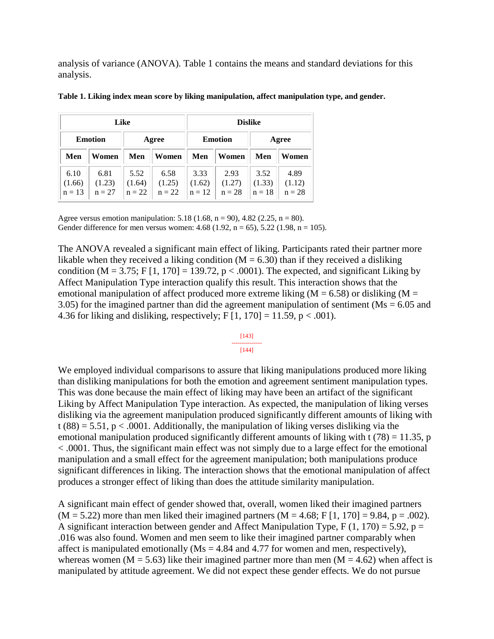analysis of variance (ANOVA). Table 1 contains the means and standard deviations for this analysis.

|                            |                            | Like                       |                            | <b>Dislike</b>             |                            |                            |                            |  |  |
|----------------------------|----------------------------|----------------------------|----------------------------|----------------------------|----------------------------|----------------------------|----------------------------|--|--|
| <b>Emotion</b>             |                            | Agree                      |                            |                            | <b>Emotion</b>             |                            | Agree                      |  |  |
| Men                        | Women                      | Men                        | Women                      | Men                        | Women                      | Men                        | Women                      |  |  |
| 6.10<br>(1.66)<br>$n = 13$ | 6.81<br>(1.23)<br>$n = 27$ | 5.52<br>(1.64)<br>$n = 22$ | 6.58<br>(1.25)<br>$n = 22$ | 3.33<br>(1.62)<br>$n = 12$ | 2.93<br>(1.27)<br>$n = 28$ | 3.52<br>(1.33)<br>$n = 18$ | 4.89<br>(1.12)<br>$n = 28$ |  |  |

|  |  | Table 1. Liking index mean score by liking manipulation, affect manipulation type, and gender. |  |  |  |
|--|--|------------------------------------------------------------------------------------------------|--|--|--|
|  |  |                                                                                                |  |  |  |

Agree versus emotion manipulation:  $5.18$  (1.68, n = 90), 4.82 (2.25, n = 80). Gender difference for men versus women:  $4.68$  (1.92, n = 65),  $5.22$  (1.98, n = 105).

The ANOVA revealed a significant main effect of liking. Participants rated their partner more likable when they received a liking condition  $(M = 6.30)$  than if they received a disliking condition (M = 3.75; F [1, 170] = 139.72,  $p < .0001$ ). The expected, and significant Liking by Affect Manipulation Type interaction qualify this result. This interaction shows that the emotional manipulation of affect produced more extreme liking ( $M = 6.58$ ) or disliking ( $M =$ 3.05) for the imagined partner than did the agreement manipulation of sentiment ( $Ms = 6.05$  and 4.36 for liking and disliking, respectively; F  $[1, 170] = 11.59$ , p < .001).

#### [143] --------------- [144]

# We employed individual comparisons to assure that liking manipulations produced more liking than disliking manipulations for both the emotion and agreement sentiment manipulation types. This was done because the main effect of liking may have been an artifact of the significant Liking by Affect Manipulation Type interaction. As expected, the manipulation of liking verses disliking via the agreement manipulation produced significantly different amounts of liking with  $t (88) = 5.51$ ,  $p < .0001$ . Additionally, the manipulation of liking verses disliking via the emotional manipulation produced significantly different amounts of liking with t  $(78) = 11.35$ , p < .0001. Thus, the significant main effect was not simply due to a large effect for the emotional manipulation and a small effect for the agreement manipulation; both manipulations produce significant differences in liking. The interaction shows that the emotional manipulation of affect produces a stronger effect of liking than does the attitude similarity manipulation.

A significant main effect of gender showed that, overall, women liked their imagined partners  $(M = 5.22)$  more than men liked their imagined partners  $(M = 4.68; F[1, 170] = 9.84, p = .002)$ . A significant interaction between gender and Affect Manipulation Type, F (1, 170) = 5.92, p = .016 was also found. Women and men seem to like their imagined partner comparably when affect is manipulated emotionally ( $Ms = 4.84$  and 4.77 for women and men, respectively), whereas women ( $M = 5.63$ ) like their imagined partner more than men ( $M = 4.62$ ) when affect is manipulated by attitude agreement. We did not expect these gender effects. We do not pursue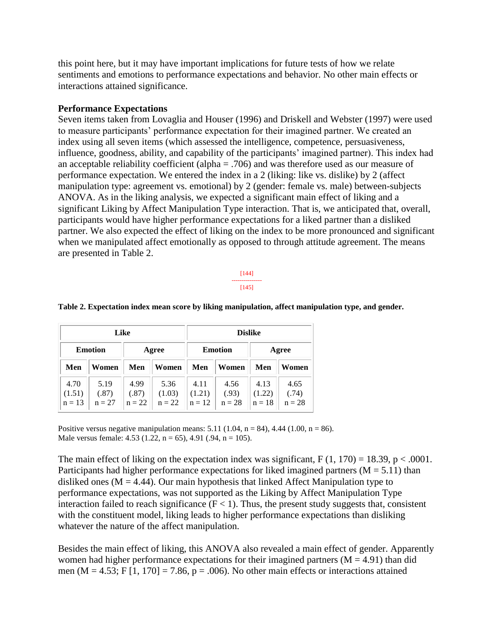this point here, but it may have important implications for future tests of how we relate sentiments and emotions to performance expectations and behavior. No other main effects or interactions attained significance.

### **Performance Expectations**

Seven items taken from Lovaglia and Houser (1996) and Driskell and Webster (1997) were used to measure participants' performance expectation for their imagined partner. We created an index using all seven items (which assessed the intelligence, competence, persuasiveness, influence, goodness, ability, and capability of the participants' imagined partner). This index had an acceptable reliability coefficient (alpha = .706) and was therefore used as our measure of performance expectation. We entered the index in a 2 (liking: like vs. dislike) by 2 (affect manipulation type: agreement vs. emotional) by 2 (gender: female vs. male) between-subjects ANOVA. As in the liking analysis, we expected a significant main effect of liking and a significant Liking by Affect Manipulation Type interaction. That is, we anticipated that, overall, participants would have higher performance expectations for a liked partner than a disliked partner. We also expected the effect of liking on the index to be more pronounced and significant when we manipulated affect emotionally as opposed to through attitude agreement. The means are presented in Table 2.

> [144] --------------- [145]

| Like           |          |          |          | <b>Dislike</b> |          |          |          |  |
|----------------|----------|----------|----------|----------------|----------|----------|----------|--|
| <b>Emotion</b> |          | Agree    |          | <b>Emotion</b> |          | Agree    |          |  |
| Men            | Women    | Men      | Women    | Men            | Women    | Men      | Women    |  |
| 4.70           | 5.19     | 4.99     | 5.36     | 4.11           | 4.56     | 4.13     | 4.65     |  |
| (1.51)         | (.87)    | (.87)    | (1.03)   | (1.21)         | (.93)    | (1.22)   | (.74)    |  |
| $n = 13$       | $n = 27$ | $n = 22$ | $n = 22$ | $n = 12$       | $n = 28$ | $n = 18$ | $n = 28$ |  |

#### **Table 2. Expectation index mean score by liking manipulation, affect manipulation type, and gender.**

Positive versus negative manipulation means:  $5.11$  (1.04, n = 84), 4.44 (1.00, n = 86). Male versus female:  $4.53$  (1.22, n = 65),  $4.91$  (.94, n = 105).

The main effect of liking on the expectation index was significant,  $F(1, 170) = 18.39$ ,  $p < .0001$ . Participants had higher performance expectations for liked imagined partners ( $M = 5.11$ ) than disliked ones ( $M = 4.44$ ). Our main hypothesis that linked Affect Manipulation type to performance expectations, was not supported as the Liking by Affect Manipulation Type interaction failed to reach significance  $(F < 1)$ . Thus, the present study suggests that, consistent with the constituent model, liking leads to higher performance expectations than disliking whatever the nature of the affect manipulation.

Besides the main effect of liking, this ANOVA also revealed a main effect of gender. Apparently women had higher performance expectations for their imagined partners ( $M = 4.91$ ) than did men (M = 4.53; F [1, 170] = 7.86, p = .006). No other main effects or interactions attained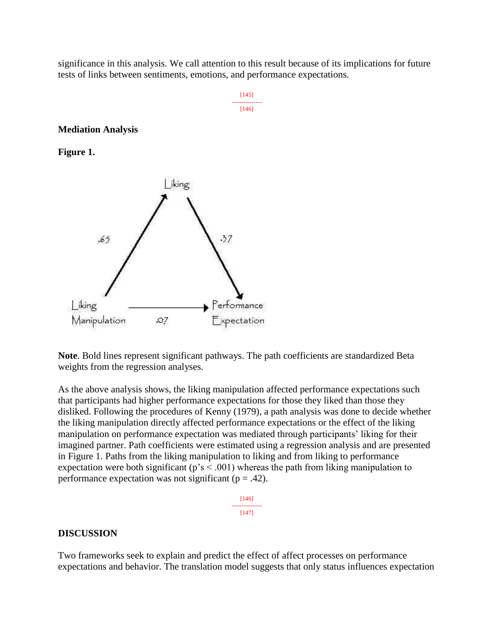significance in this analysis. We call attention to this result because of its implications for future tests of links between sentiments, emotions, and performance expectations.



#### **Mediation Analysis**

**Figure 1.**



**Note**. Bold lines represent significant pathways. The path coefficients are standardized Beta weights from the regression analyses.

As the above analysis shows, the liking manipulation affected performance expectations such that participants had higher performance expectations for those they liked than those they disliked. Following the procedures of Kenny (1979), a path analysis was done to decide whether the liking manipulation directly affected performance expectations or the effect of the liking manipulation on performance expectation was mediated through participants' liking for their imagined partner. Path coefficients were estimated using a regression analysis and are presented in Figure 1. Paths from the liking manipulation to liking and from liking to performance expectation were both significant ( $p's < .001$ ) whereas the path from liking manipulation to performance expectation was not significant ( $p = .42$ ).

> [146] --------------- [147]

### **DISCUSSION**

Two frameworks seek to explain and predict the effect of affect processes on performance expectations and behavior. The translation model suggests that only status influences expectation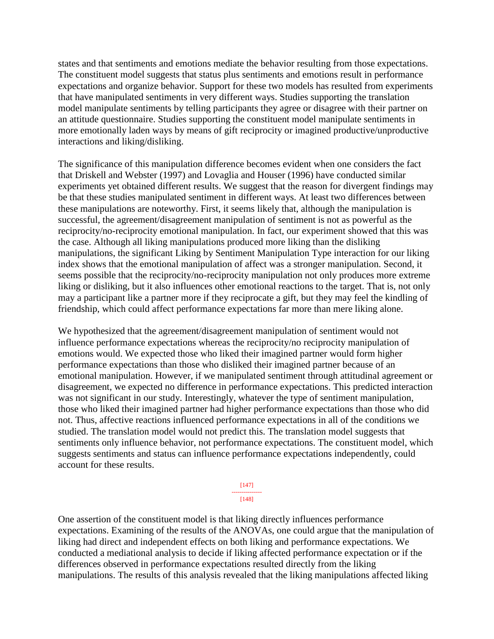states and that sentiments and emotions mediate the behavior resulting from those expectations. The constituent model suggests that status plus sentiments and emotions result in performance expectations and organize behavior. Support for these two models has resulted from experiments that have manipulated sentiments in very different ways. Studies supporting the translation model manipulate sentiments by telling participants they agree or disagree with their partner on an attitude questionnaire. Studies supporting the constituent model manipulate sentiments in more emotionally laden ways by means of gift reciprocity or imagined productive/unproductive interactions and liking/disliking.

The significance of this manipulation difference becomes evident when one considers the fact that Driskell and Webster (1997) and Lovaglia and Houser (1996) have conducted similar experiments yet obtained different results. We suggest that the reason for divergent findings may be that these studies manipulated sentiment in different ways. At least two differences between these manipulations are noteworthy. First, it seems likely that, although the manipulation is successful, the agreement/disagreement manipulation of sentiment is not as powerful as the reciprocity/no-reciprocity emotional manipulation. In fact, our experiment showed that this was the case. Although all liking manipulations produced more liking than the disliking manipulations, the significant Liking by Sentiment Manipulation Type interaction for our liking index shows that the emotional manipulation of affect was a stronger manipulation. Second, it seems possible that the reciprocity/no-reciprocity manipulation not only produces more extreme liking or disliking, but it also influences other emotional reactions to the target. That is, not only may a participant like a partner more if they reciprocate a gift, but they may feel the kindling of friendship, which could affect performance expectations far more than mere liking alone.

We hypothesized that the agreement/disagreement manipulation of sentiment would not influence performance expectations whereas the reciprocity/no reciprocity manipulation of emotions would. We expected those who liked their imagined partner would form higher performance expectations than those who disliked their imagined partner because of an emotional manipulation. However, if we manipulated sentiment through attitudinal agreement or disagreement, we expected no difference in performance expectations. This predicted interaction was not significant in our study. Interestingly, whatever the type of sentiment manipulation, those who liked their imagined partner had higher performance expectations than those who did not. Thus, affective reactions influenced performance expectations in all of the conditions we studied. The translation model would not predict this. The translation model suggests that sentiments only influence behavior, not performance expectations. The constituent model, which suggests sentiments and status can influence performance expectations independently, could account for these results.

> [147] --------------- [148]

One assertion of the constituent model is that liking directly influences performance expectations. Examining of the results of the ANOVAs, one could argue that the manipulation of liking had direct and independent effects on both liking and performance expectations. We conducted a mediational analysis to decide if liking affected performance expectation or if the differences observed in performance expectations resulted directly from the liking manipulations. The results of this analysis revealed that the liking manipulations affected liking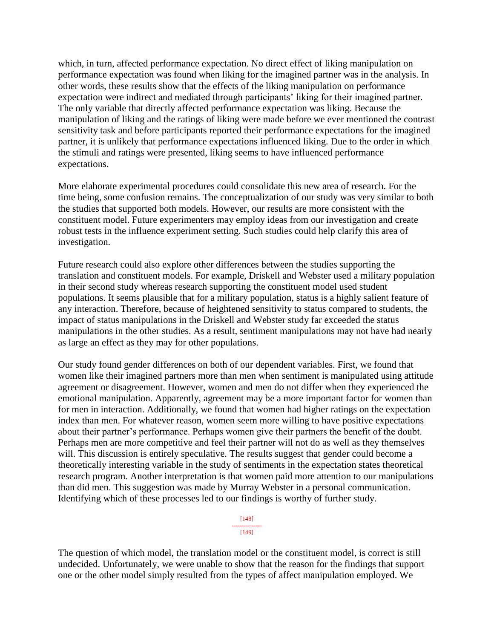which, in turn, affected performance expectation. No direct effect of liking manipulation on performance expectation was found when liking for the imagined partner was in the analysis. In other words, these results show that the effects of the liking manipulation on performance expectation were indirect and mediated through participants' liking for their imagined partner. The only variable that directly affected performance expectation was liking. Because the manipulation of liking and the ratings of liking were made before we ever mentioned the contrast sensitivity task and before participants reported their performance expectations for the imagined partner, it is unlikely that performance expectations influenced liking. Due to the order in which the stimuli and ratings were presented, liking seems to have influenced performance expectations.

More elaborate experimental procedures could consolidate this new area of research. For the time being, some confusion remains. The conceptualization of our study was very similar to both the studies that supported both models. However, our results are more consistent with the constituent model. Future experimenters may employ ideas from our investigation and create robust tests in the influence experiment setting. Such studies could help clarify this area of investigation.

Future research could also explore other differences between the studies supporting the translation and constituent models. For example, Driskell and Webster used a military population in their second study whereas research supporting the constituent model used student populations. It seems plausible that for a military population, status is a highly salient feature of any interaction. Therefore, because of heightened sensitivity to status compared to students, the impact of status manipulations in the Driskell and Webster study far exceeded the status manipulations in the other studies. As a result, sentiment manipulations may not have had nearly as large an effect as they may for other populations.

Our study found gender differences on both of our dependent variables. First, we found that women like their imagined partners more than men when sentiment is manipulated using attitude agreement or disagreement. However, women and men do not differ when they experienced the emotional manipulation. Apparently, agreement may be a more important factor for women than for men in interaction. Additionally, we found that women had higher ratings on the expectation index than men. For whatever reason, women seem more willing to have positive expectations about their partner's performance. Perhaps women give their partners the benefit of the doubt. Perhaps men are more competitive and feel their partner will not do as well as they themselves will. This discussion is entirely speculative. The results suggest that gender could become a theoretically interesting variable in the study of sentiments in the expectation states theoretical research program. Another interpretation is that women paid more attention to our manipulations than did men. This suggestion was made by Murray Webster in a personal communication. Identifying which of these processes led to our findings is worthy of further study.

> [148] --------------- [149]

The question of which model, the translation model or the constituent model, is correct is still undecided. Unfortunately, we were unable to show that the reason for the findings that support one or the other model simply resulted from the types of affect manipulation employed. We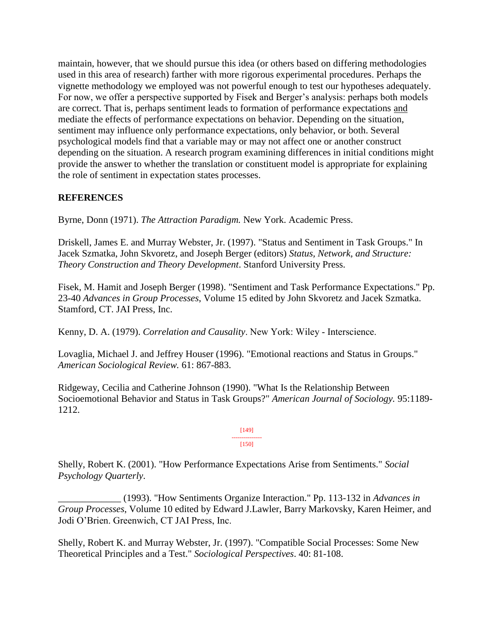maintain, however, that we should pursue this idea (or others based on differing methodologies used in this area of research) farther with more rigorous experimental procedures. Perhaps the vignette methodology we employed was not powerful enough to test our hypotheses adequately. For now, we offer a perspective supported by Fisek and Berger's analysis: perhaps both models are correct. That is, perhaps sentiment leads to formation of performance expectations and mediate the effects of performance expectations on behavior. Depending on the situation, sentiment may influence only performance expectations, only behavior, or both. Several psychological models find that a variable may or may not affect one or another construct depending on the situation. A research program examining differences in initial conditions might provide the answer to whether the translation or constituent model is appropriate for explaining the role of sentiment in expectation states processes.

## **REFERENCES**

Byrne, Donn (1971). *The Attraction Paradigm.* New York. Academic Press.

Driskell, James E. and Murray Webster, Jr. (1997). "Status and Sentiment in Task Groups." In Jacek Szmatka, John Skvoretz, and Joseph Berger (editors) *Status, Network, and Structure: Theory Construction and Theory Development*. Stanford University Press.

Fisek, M. Hamit and Joseph Berger (1998). "Sentiment and Task Performance Expectations." Pp. 23-40 *Advances in Group Processes*, Volume 15 edited by John Skvoretz and Jacek Szmatka. Stamford, CT. JAI Press, Inc.

Kenny, D. A. (1979). *Correlation and Causality*. New York: Wiley - Interscience.

Lovaglia, Michael J. and Jeffrey Houser (1996). "Emotional reactions and Status in Groups." *American Sociological Review.* 61: 867-883.

Ridgeway, Cecilia and Catherine Johnson (1990). "What Is the Relationship Between Socioemotional Behavior and Status in Task Groups?" *American Journal of Sociology.* 95:1189- 1212.

> [149] --------------- [150]

Shelly, Robert K. (2001). "How Performance Expectations Arise from Sentiments." *Social Psychology Quarterly*.

\_\_\_\_\_\_\_\_\_\_\_\_\_ (1993). "How Sentiments Organize Interaction." Pp. 113-132 in *Advances in Group Processes*, Volume 10 edited by Edward J.Lawler, Barry Markovsky, Karen Heimer, and Jodi O'Brien. Greenwich, CT JAI Press, Inc.

Shelly, Robert K. and Murray Webster, Jr. (1997). "Compatible Social Processes: Some New Theoretical Principles and a Test." *Sociological Perspectives*. 40: 81-108.